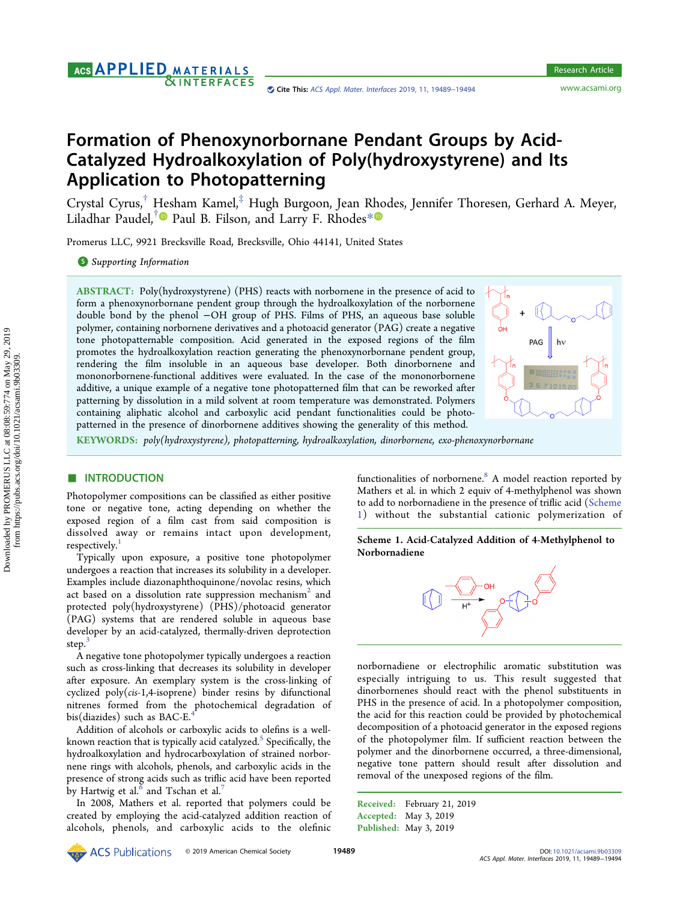## AGS APPLIED MATERIALS **&INTERFACES**

# Formation of Phenoxynorbornane Pendant Groups by Acid-Catalyzed Hydroalkoxylation of Poly(hydroxystyrene) and Its Application to Photopatterning

Crystal Cyrus,[†](#page-4-0) Hesham Kamel,[‡](#page-4-0) Hugh Burgoon, Jean R[ho](#page-4-0)des, Jennifer Thoresen, Gerhard A. Meyer, Liladhar Paudel,<sup>[†](#page-4-0)</sup> Paul B. Filson, and Larry F. Rhodes<sup>[\\*](#page-4-0)</sup>

Promerus LLC, 9921 Brecksville Road, Brecksville, Ohio 44141, United States

**S** [Supporting Information](#page-4-0)

ABSTRACT: Poly(hydroxystyrene) (PHS) reacts with norbornene in the presence of acid to form a phenoxynorbornane pendent group through the hydroalkoxylation of the norbornene double bond by the phenol −OH group of PHS. Films of PHS, an aqueous base soluble polymer, containing norbornene derivatives and a photoacid generator (PAG) create a negative tone photopatternable composition. Acid generated in the exposed regions of the film promotes the hydroalkoxylation reaction generating the phenoxynorbornane pendent group, rendering the film insoluble in an aqueous base developer. Both dinorbornene and mononorbornene-functional additives were evaluated. In the case of the mononorbornene additive, a unique example of a negative tone photopatterned film that can be reworked after patterning by dissolution in a mild solvent at room temperature was demonstrated. Polymers containing aliphatic alcohol and carboxylic acid pendant functionalities could be photopatterned in the presence of dinorbornene additives showing the generality of this method.



KEYWORDS: poly(hydroxystyrene), photopatterning, hydroalkoxylation, dinorbornene, exo-phenoxynorbornane

## ■ INTRODUCTION

Photopolymer compositions can be classified as either positive tone or negative tone, acting depending on whether the exposed region of a film cast from said composition is dissolved away or remains intact upon development, respectively.

Typically upon exposure, a positive tone photopolymer undergoes a reaction that increases its solubility in a developer. Examples include diazonaphthoquinone/novolac resins, which act based on a dissolution rate suppression mechanism<sup>[2](#page-4-0)</sup> and protected poly(hydroxystyrene) (PHS)/photoacid generator (PAG) systems that are rendered soluble in aqueous base developer by an acid-catalyzed, thermally-driven deprotection step.<sup>3</sup>

A negative tone photopolymer typically undergoes a reaction such as cross-linking that decreases its solubility in developer after exposure. An exemplary system is the cross-linking of cyclized poly(cis-1,4-isoprene) binder resins by difunctional nitrenes formed from the photochemical degradation of bis(diazides) such as BAC-E.

Addition of alcohols or carboxylic acids to olefins is a well-known reaction that is typically acid catalyzed.<sup>[5](#page-4-0)</sup> Specifically, the hydroalkoxylation and hydrocarboxylation of strained norbornene rings with alcohols, phenols, and carboxylic acids in the presence of strong acids such as triflic acid have been reported by Hartwig et al. $^6$  and Tschan et al. $^7$  $^7$ 

In 2008, Mathers et al. reported that polymers could be created by employing the acid-catalyzed addition reaction of alcohols, phenols, and carboxylic acids to the olefinic

functionalities of norbornene.<sup>[8](#page-5-0)</sup> A model reaction reported by Mathers et al. in which 2 equiv of 4-methylphenol was shown to add to norbornadiene in the presence of triflic acid (Scheme 1) without the substantial cationic polymerization of

Scheme 1. Acid-Catalyzed Addition of 4-Methylphenol to Norbornadiene



norbornadiene or electrophilic aromatic substitution was especially intriguing to us. This result suggested that dinorbornenes should react with the phenol substituents in PHS in the presence of acid. In a photopolymer composition, the acid for this reaction could be provided by photochemical decomposition of a photoacid generator in the exposed regions of the photopolymer film. If sufficient reaction between the polymer and the dinorbornene occurred, a three-dimensional, negative tone pattern should result after dissolution and removal of the unexposed regions of the film.

Received: February 21, 2019 Accepted: May 3, 2019 Published: May 3, 2019

**ACS** Publications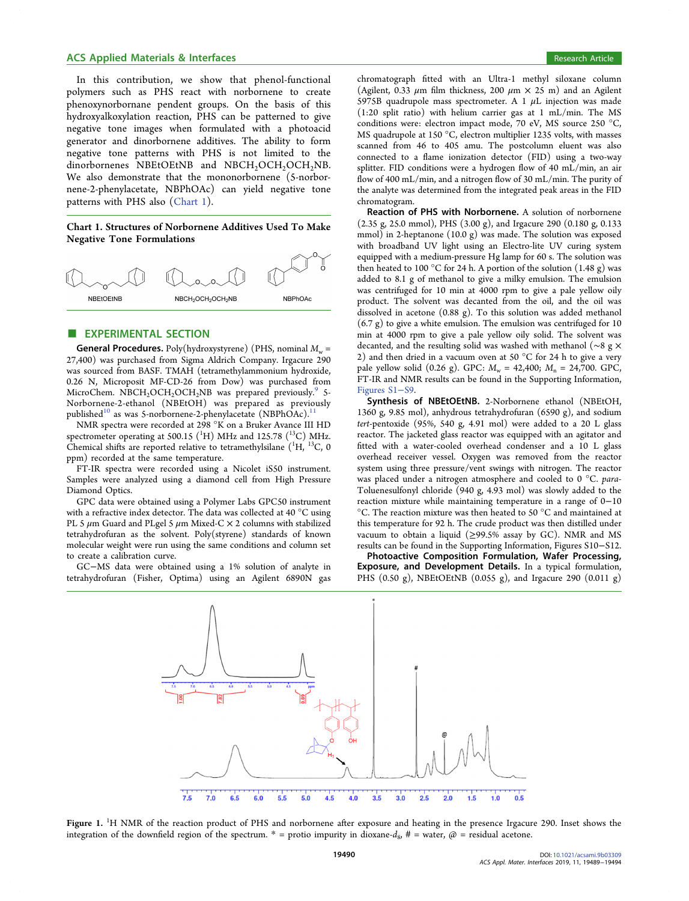## <span id="page-1-0"></span>ACS Applied Materials & Interfaces **Research Article** 8 and 2011 and 2012 and 2012 and 2013 and 2013 and 2013 and 2013

In this contribution, we show that phenol-functional polymers such as PHS react with norbornene to create phenoxynorbornane pendent groups. On the basis of this hydroxyalkoxylation reaction, PHS can be patterned to give negative tone images when formulated with a photoacid generator and dinorbornene additives. The ability to form negative tone patterns with PHS is not limited to the dinorbornenes NBEtOEtNB and NBCH<sub>2</sub>OCH<sub>2</sub>OCH<sub>2</sub>NB. We also demonstrate that the mononorbornene (5-norbornene-2-phenylacetate, NBPhOAc) can yield negative tone patterns with PHS also (Chart 1).

Chart 1. Structures of Norbornene Additives Used To Make Negative Tone Formulations



## **EXPERIMENTAL SECTION**

**General Procedures.** Poly(hydroxystyrene) (PHS, nominal  $M_w$  = 27,400) was purchased from Sigma Aldrich Company. Irgacure 290 was sourced from BASF. TMAH (tetramethylammonium hydroxide, 0.26 N, Microposit MF-CD-26 from Dow) was purchased from MicroChem. NBCH<sub>2</sub>OCH<sub>2</sub>OCH<sub>2</sub>NB was prepared previously.<sup>[9](#page-5-0)</sup> 5-Norbornene-2-ethanol (NBEtOH) was prepared as previously published<sup>[10](#page-5-0)</sup> as was 5-norbornene-2-phenylacetate (NBPhOAc).

NMR spectra were recorded at 298 °K on a Bruker Avance III HD spectrometer operating at 500.15  $({\rm ^1H})$  MHz and 125.78  $({\rm ^{13}C})$  MHz. Chemical shifts are reported relative to tetramethylsilane  $(^1H, ^{13}C, 0)$ ppm) recorded at the same temperature.

FT-IR spectra were recorded using a Nicolet iS50 instrument. Samples were analyzed using a diamond cell from High Pressure Diamond Optics.

GPC data were obtained using a Polymer Labs GPC50 instrument with a refractive index detector. The data was collected at 40 °C using PL 5  $\mu$ m Guard and PLgel 5  $\mu$ m Mixed-C  $\times$  2 columns with stabilized tetrahydrofuran as the solvent. Poly(styrene) standards of known molecular weight were run using the same conditions and column set to create a calibration curve.

GC−MS data were obtained using a 1% solution of analyte in tetrahydrofuran (Fisher, Optima) using an Agilent 6890N gas

chromatograph fitted with an Ultra-1 methyl siloxane column (Agilent, 0.33  $\mu$ m film thickness, 200  $\mu$ m  $\times$  25 m) and an Agilent 5975B quadrupole mass spectrometer. A 1  $\mu$ L injection was made (1:20 split ratio) with helium carrier gas at 1 mL/min. The MS conditions were: electron impact mode, 70 eV, MS source 250 °C, MS quadrupole at 150 °C, electron multiplier 1235 volts, with masses scanned from 46 to 405 amu. The postcolumn eluent was also connected to a flame ionization detector (FID) using a two-way splitter. FID conditions were a hydrogen flow of 40 mL/min, an air flow of 400 mL/min, and a nitrogen flow of 30 mL/min. The purity of the analyte was determined from the integrated peak areas in the FID chromatogram.

Reaction of PHS with Norbornene. A solution of norbornene (2.35 g, 25.0 mmol), PHS (3.00 g), and Irgacure 290 (0.180 g, 0.133 mmol) in 2-heptanone (10.0 g) was made. The solution was exposed with broadband UV light using an Electro-lite UV curing system equipped with a medium-pressure Hg lamp for 60 s. The solution was then heated to 100 °C for 24 h. A portion of the solution  $(1.48 \text{ g})$  was added to 8.1 g of methanol to give a milky emulsion. The emulsion was centrifuged for 10 min at 4000 rpm to give a pale yellow oily product. The solvent was decanted from the oil, and the oil was dissolved in acetone (0.88 g). To this solution was added methanol (6.7 g) to give a white emulsion. The emulsion was centrifuged for 10 min at 4000 rpm to give a pale yellow oily solid. The solvent was decanted, and the resulting solid was washed with methanol (∼8 g × 2) and then dried in a vacuum oven at 50 °C for 24 h to give a very pale yellow solid (0.26 g). GPC:  $M_w = 42,400$ ;  $M_n = 24,700$ . GPC, FT-IR and NMR results can be found in the Supporting Information, [Figures S1](http://pubs.acs.org/doi/suppl/10.1021/acsami.9b03309/suppl_file/am9b03309_si_001.pdf)−S9.

Synthesis of NBEtOEtNB. 2-Norbornene ethanol (NBEtOH, 1360 g, 9.85 mol), anhydrous tetrahydrofuran (6590 g), and sodium tert-pentoxide (95%, 540 g, 4.91 mol) were added to a 20 L glass reactor. The jacketed glass reactor was equipped with an agitator and fitted with a water-cooled overhead condenser and a 10 L glass overhead receiver vessel. Oxygen was removed from the reactor system using three pressure/vent swings with nitrogen. The reactor was placed under a nitrogen atmosphere and cooled to 0 °C. para-Toluenesulfonyl chloride (940 g, 4.93 mol) was slowly added to the reaction mixture while maintaining temperature in a range of 0−10 °C. The reaction mixture was then heated to 50 °C and maintained at this temperature for 92 h. The crude product was then distilled under vacuum to obtain a liquid ( $\geq$ 99.5% assay by GC). NMR and MS results can be found in the Supporting Information, Figures S10−S12.

Photoactive Composition Formulation, Wafer Processing, Exposure, and Development Details. In a typical formulation, PHS (0.50 g), NBEtOEtNB (0.055 g), and Irgacure 290 (0.011 g)



Figure 1. <sup>1</sup>H NMR of the reaction product of PHS and norbornene after exposure and heating in the presence Irgacure 290. Inset shows the integration of the downfield region of the spectrum. \* = protio impurity in dioxane- $d_8$ , # = water,  $\omega$  = residual acetone.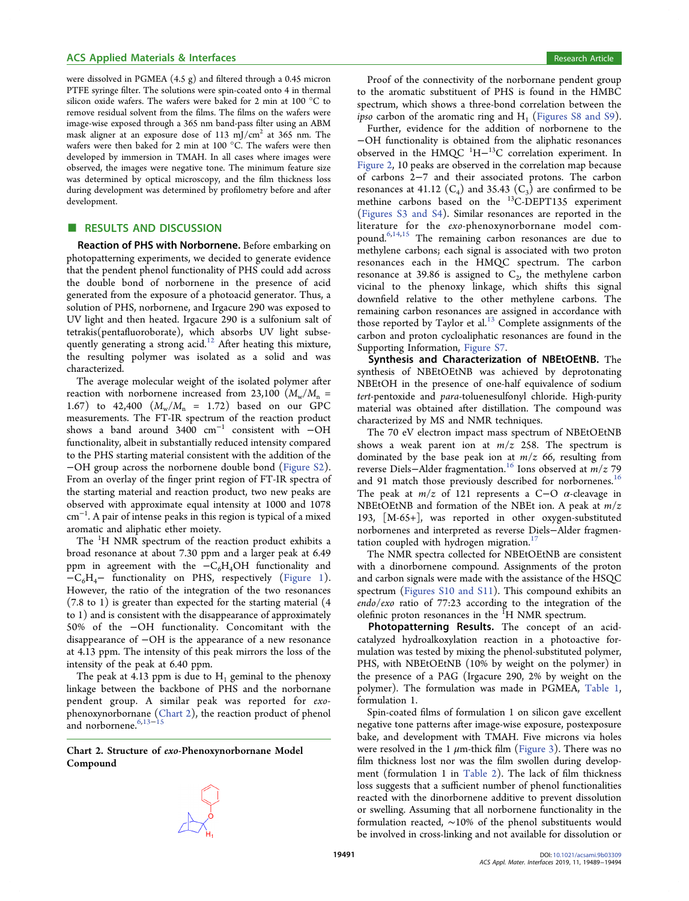#### ACS Applied Materials & Interfaces **Research Article** Research Article

were dissolved in PGMEA (4.5 g) and filtered through a 0.45 micron PTFE syringe filter. The solutions were spin-coated onto 4 in thermal silicon oxide wafers. The wafers were baked for 2 min at 100 °C to remove residual solvent from the films. The films on the wafers were image-wise exposed through a 365 nm band-pass filter using an ABM mask aligner at an exposure dose of 113 mJ/cm<sup>2</sup> at 365 nm. The wafers were then baked for 2 min at 100 °C. The wafers were then developed by immersion in TMAH. In all cases where images were observed, the images were negative tone. The minimum feature size was determined by optical microscopy, and the film thickness loss during development was determined by profilometry before and after development.

## ■ RESULTS AND DISCUSSION

Reaction of PHS with Norbornene. Before embarking on photopatterning experiments, we decided to generate evidence that the pendent phenol functionality of PHS could add across the double bond of norbornene in the presence of acid generated from the exposure of a photoacid generator. Thus, a solution of PHS, norbornene, and Irgacure 290 was exposed to UV light and then heated. Irgacure 290 is a sulfonium salt of tetrakis(pentafluoroborate), which absorbs UV light subse-quently generating a strong acid.<sup>[12](#page-5-0)</sup> After heating this mixture, the resulting polymer was isolated as a solid and was characterized.

The average molecular weight of the isolated polymer after reaction with norbornene increased from 23,100 ( $M_{\rm w}/M_{\rm n}$  = 1.67) to 42,400  $(M_w/M_n = 1.72)$  based on our GPC measurements. The FT-IR spectrum of the reaction product shows a band around 3400 cm<sup>−</sup><sup>1</sup> consistent with −OH functionality, albeit in substantially reduced intensity compared to the PHS starting material consistent with the addition of the −OH group across the norbornene double bond [\(Figure S2](http://pubs.acs.org/doi/suppl/10.1021/acsami.9b03309/suppl_file/am9b03309_si_001.pdf)). From an overlay of the finger print region of FT-IR spectra of the starting material and reaction product, two new peaks are observed with approximate equal intensity at 1000 and 1078 cm<sup>−</sup><sup>1</sup> . A pair of intense peaks in this region is typical of a mixed aromatic and aliphatic ether moiety.

The <sup>1</sup>H NMR spectrum of the reaction product exhibits a broad resonance at about 7.30 ppm and a larger peak at 6.49 ppm in agreement with the  $-C_6H_4OH$  functionality and  $-C_6H_4$ – functionality on PHS, respectively ([Figure 1](#page-1-0)). However, the ratio of the integration of the two resonances (7.8 to 1) is greater than expected for the starting material (4 to 1) and is consistent with the disappearance of approximately 50% of the −OH functionality. Concomitant with the disappearance of −OH is the appearance of a new resonance at 4.13 ppm. The intensity of this peak mirrors the loss of the intensity of the peak at 6.40 ppm.

The peak at 4.13 ppm is due to  $H_1$  geminal to the phenoxy linkage between the backbone of PHS and the norbornane pendent group. A similar peak was reported for exophenoxynorbornane (Chart 2), the reaction product of phenol and norbornene. $6,13-15$  $6,13-15$  $6,13-15$  $6,13-15$  $6,13-15$ 

Chart 2. Structure of exo-Phenoxynorbornane Model Compound

Proof of the connectivity of the norbornane pendent group to the aromatic substituent of PHS is found in the HMBC spectrum, which shows a three-bond correlation between the *ipso* carbon of the aromatic ring and  $H_1$  ([Figures S8 and S9](http://pubs.acs.org/doi/suppl/10.1021/acsami.9b03309/suppl_file/am9b03309_si_001.pdf)).

Further, evidence for the addition of norbornene to the −OH functionality is obtained from the aliphatic resonances observed in the HMQC  ${}^{1}H-{}^{13}C$  correlation experiment. In [Figure 2](#page-3-0), 10 peaks are observed in the correlation map because of carbons 2−7 and their associated protons. The carbon resonances at 41.12  $(C_4)$  and 35.43  $(C_3)$  are confirmed to be methine carbons based on the <sup>13</sup>C-DEPT135 experiment ([Figures S3 and S4\)](http://pubs.acs.org/doi/suppl/10.1021/acsami.9b03309/suppl_file/am9b03309_si_001.pdf). Similar resonances are reported in the literature for the exo-phenoxynorbornane model compound.[6,14](#page-5-0),[15](#page-5-0) The remaining carbon resonances are due to methylene carbons; each signal is associated with two proton resonances each in the HMQC spectrum. The carbon resonance at 39.86 is assigned to  $C_2$ , the methylene carbon vicinal to the phenoxy linkage, which shifts this signal downfield relative to the other methylene carbons. The remaining carbon resonances are assigned in accordance with those reported by Taylor et al. $^{13}$  Complete assignments of the carbon and proton cycloaliphatic resonances are found in the Supporting Information, [Figure S7.](http://pubs.acs.org/doi/suppl/10.1021/acsami.9b03309/suppl_file/am9b03309_si_001.pdf)

Synthesis and Characterization of NBEtOEtNB. The synthesis of NBEtOEtNB was achieved by deprotonating NBEtOH in the presence of one-half equivalence of sodium tert-pentoxide and para-toluenesulfonyl chloride. High-purity material was obtained after distillation. The compound was characterized by MS and NMR techniques.

The 70 eV electron impact mass spectrum of NBEtOEtNB shows a weak parent ion at  $m/z$  258. The spectrum is dominated by the base peak ion at  $m/z$  66, resulting from reverse Diels–Alder fragmentation.<sup>[16](#page-5-0)</sup> Ions observed at *m/z* 79 and 91 match those previously described for norbornenes.<sup>[16](#page-5-0)</sup> The peak at  $m/z$  of 121 represents a C-O  $\alpha$ -cleavage in NBEtOEtNB and formation of the NBEt ion. A peak at  $m/z$ 193, [M-65+], was reported in other oxygen-substituted norbornenes and interpreted as reverse Diels−Alder fragmen-tation coupled with hydrogen migration.<sup>[17](#page-5-0)</sup>

The NMR spectra collected for NBEtOEtNB are consistent with a dinorbornene compound. Assignments of the proton and carbon signals were made with the assistance of the HSQC spectrum [\(Figures S10 and S11](http://pubs.acs.org/doi/suppl/10.1021/acsami.9b03309/suppl_file/am9b03309_si_001.pdf)). This compound exhibits an endo/exo ratio of 77:23 according to the integration of the olefinic proton resonances in the <sup>1</sup>H NMR spectrum.

Photopatterning Results. The concept of an acidcatalyzed hydroalkoxylation reaction in a photoactive formulation was tested by mixing the phenol-substituted polymer, PHS, with NBEtOEtNB (10% by weight on the polymer) in the presence of a PAG (Irgacure 290, 2% by weight on the polymer). The formulation was made in PGMEA, [Table 1](#page-3-0), formulation 1.

Spin-coated films of formulation 1 on silicon gave excellent negative tone patterns after image-wise exposure, postexposure bake, and development with TMAH. Five microns via holes were resolved in the 1  $\mu$ m-thick film [\(Figure 3](#page-3-0)). There was no film thickness lost nor was the film swollen during development (formulation 1 in [Table 2](#page-3-0)). The lack of film thickness loss suggests that a sufficient number of phenol functionalities reacted with the dinorbornene additive to prevent dissolution or swelling. Assuming that all norbornene functionality in the formulation reacted, ∼10% of the phenol substituents would be involved in cross-linking and not available for dissolution or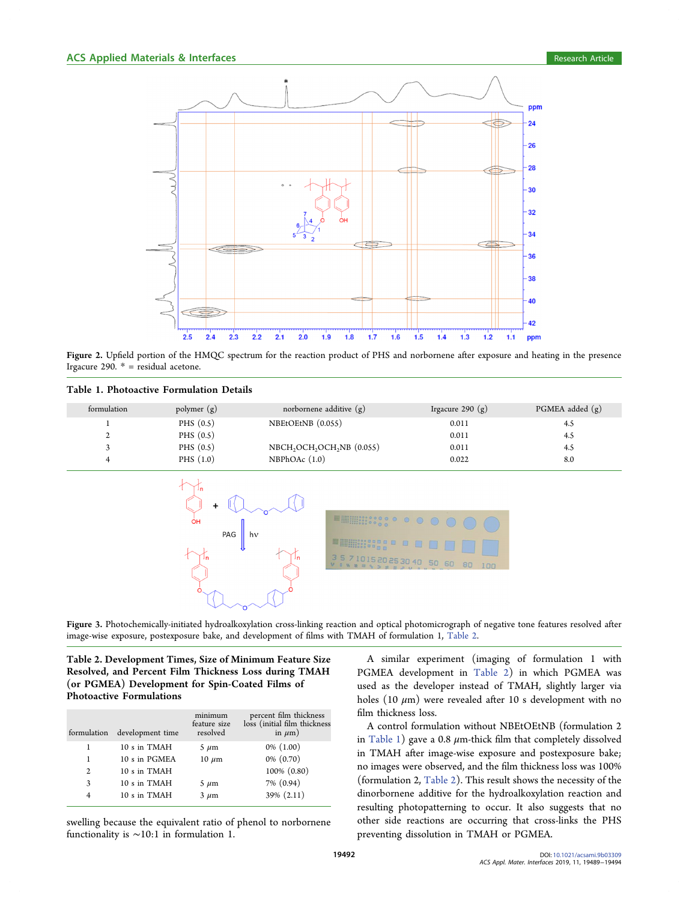<span id="page-3-0"></span>

Figure 2. Upfield portion of the HMQC spectrum for the reaction product of PHS and norbornene after exposure and heating in the presence Irgacure 290.  $*$  = residual acetone.

| Table 1. Photoactive Formulation Details |
|------------------------------------------|
|------------------------------------------|

| formulation | polymer $(g)$ | norbornene additive $(g)$                                      | Irgacure 290 $(g)$ | $PGMEA$ added $(g)$ |
|-------------|---------------|----------------------------------------------------------------|--------------------|---------------------|
|             | PHS $(0.5)$   | NBEtOEtNB (0.055)                                              | 0.011              | 4.5                 |
|             | PHS $(0.5)$   |                                                                | 0.011              | 4.5                 |
|             | PHS $(0.5)$   | NBCH <sub>2</sub> OCH <sub>2</sub> OCH <sub>2</sub> NB (0.055) | 0.011              | 4.5                 |
|             | PHS $(1.0)$   | NBPhOAc(1.0)                                                   | 0.022              | 8.0                 |



Figure 3. Photochemically-initiated hydroalkoxylation cross-linking reaction and optical photomicrograph of negative tone features resolved after image-wise exposure, postexposure bake, and development of films with TMAH of formulation 1, Table 2.

Table 2. Development Times, Size of Minimum Feature Size Resolved, and Percent Film Thickness Loss during TMAH (or PGMEA) Development for Spin-Coated Films of Photoactive Formulations

| formulation    | development time | minimum<br>feature size<br>resolved | percent film thickness<br>loss (initial film thickness<br>in $\mu$ m) |
|----------------|------------------|-------------------------------------|-----------------------------------------------------------------------|
| 1              | 10 s in TMAH     | $5 \mu m$                           | $0\%$ $(1.00)$                                                        |
| 1              | 10 s in PGMEA    | $10 \ \mu m$                        | $0\% (0.70)$                                                          |
| $\overline{2}$ | 10 s in TMAH     |                                     | 100% (0.80)                                                           |
| 3              | 10 s in TMAH     | $5 \mu m$                           | 7% (0.94)                                                             |
| 4              | 10 s in TMAH     | $3 \mu m$                           | 39% (2.11)                                                            |

swelling because the equivalent ratio of phenol to norbornene functionality is ∼10:1 in formulation 1.

A similar experiment (imaging of formulation 1 with PGMEA development in Table 2) in which PGMEA was used as the developer instead of TMAH, slightly larger via holes (10  $\mu$ m) were revealed after 10 s development with no film thickness loss.

A control formulation without NBEtOEtNB (formulation 2 in Table 1) gave a 0.8  $\mu$ m-thick film that completely dissolved in TMAH after image-wise exposure and postexposure bake; no images were observed, and the film thickness loss was 100% (formulation 2, Table 2). This result shows the necessity of the dinorbornene additive for the hydroalkoxylation reaction and resulting photopatterning to occur. It also suggests that no other side reactions are occurring that cross-links the PHS preventing dissolution in TMAH or PGMEA.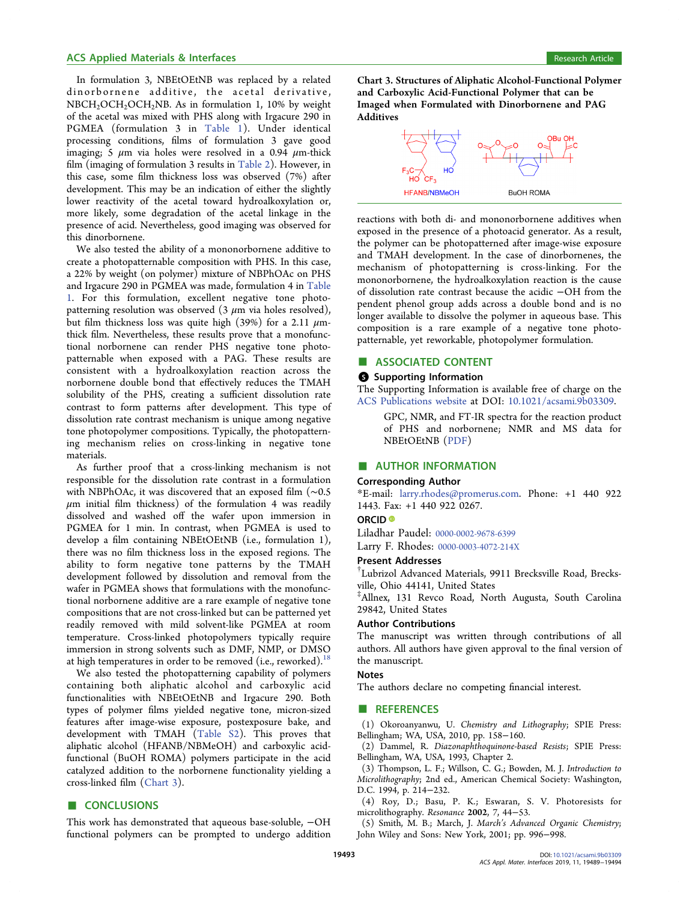#### <span id="page-4-0"></span>ACS Applied Materials & Interfaces **Research Article** Research Article

In formulation 3, NBEtOEtNB was replaced by a related dinorbornene additive, the acetal derivative,  $NBCH_2OCH_2OCH_2NB$ . As in formulation 1, 10% by weight of the acetal was mixed with PHS along with Irgacure 290 in PGMEA (formulation 3 in [Table 1\)](#page-3-0). Under identical processing conditions, films of formulation 3 gave good imaging; 5  $\mu$ m via holes were resolved in a 0.94  $\mu$ m-thick film (imaging of formulation 3 results in [Table 2](#page-3-0)). However, in this case, some film thickness loss was observed (7%) after development. This may be an indication of either the slightly lower reactivity of the acetal toward hydroalkoxylation or, more likely, some degradation of the acetal linkage in the presence of acid. Nevertheless, good imaging was observed for this dinorbornene.

We also tested the ability of a mononorbornene additive to create a photopatternable composition with PHS. In this case, a 22% by weight (on polymer) mixture of NBPhOAc on PHS and Irgacure 290 in PGMEA was made, formulation 4 in [Table](#page-3-0) [1](#page-3-0). For this formulation, excellent negative tone photopatterning resolution was observed  $(3 \mu m)$  via holes resolved), but film thickness loss was quite high (39%) for a 2.11  $\mu$ mthick film. Nevertheless, these results prove that a monofunctional norbornene can render PHS negative tone photopatternable when exposed with a PAG. These results are consistent with a hydroalkoxylation reaction across the norbornene double bond that effectively reduces the TMAH solubility of the PHS, creating a sufficient dissolution rate contrast to form patterns after development. This type of dissolution rate contrast mechanism is unique among negative tone photopolymer compositions. Typically, the photopatterning mechanism relies on cross-linking in negative tone materials.

As further proof that a cross-linking mechanism is not responsible for the dissolution rate contrast in a formulation with NBPhOAc, it was discovered that an exposed film (∼0.5  $\mu$ m initial film thickness) of the formulation 4 was readily dissolved and washed off the wafer upon immersion in PGMEA for 1 min. In contrast, when PGMEA is used to develop a film containing NBEtOEtNB (i.e., formulation 1), there was no film thickness loss in the exposed regions. The ability to form negative tone patterns by the TMAH development followed by dissolution and removal from the wafer in PGMEA shows that formulations with the monofunctional norbornene additive are a rare example of negative tone compositions that are not cross-linked but can be patterned yet readily removed with mild solvent-like PGMEA at room temperature. Cross-linked photopolymers typically require immersion in strong solvents such as DMF, NMP, or DMSO at high temperatures in order to be removed (i.e., reworked).<sup>18</sup>

We also tested the photopatterning capability of polymers containing both aliphatic alcohol and carboxylic acid functionalities with NBEtOEtNB and Irgacure 290. Both types of polymer films yielded negative tone, micron-sized features after image-wise exposure, postexposure bake, and development with TMAH [\(Table S2](http://pubs.acs.org/doi/suppl/10.1021/acsami.9b03309/suppl_file/am9b03309_si_001.pdf)). This proves that aliphatic alcohol (HFANB/NBMeOH) and carboxylic acidfunctional (BuOH ROMA) polymers participate in the acid catalyzed addition to the norbornene functionality yielding a cross-linked film (Chart 3).

## ■ CONCLUSIONS

This work has demonstrated that aqueous base-soluble, −OH functional polymers can be prompted to undergo addition

Chart 3. Structures of Aliphatic Alcohol-Functional Polymer and Carboxylic Acid-Functional Polymer that can be Imaged when Formulated with Dinorbornene and PAG Additives



reactions with both di- and mononorbornene additives when exposed in the presence of a photoacid generator. As a result, the polymer can be photopatterned after image-wise exposure and TMAH development. In the case of dinorbornenes, the mechanism of photopatterning is cross-linking. For the mononorbornene, the hydroalkoxylation reaction is the cause of dissolution rate contrast because the acidic −OH from the pendent phenol group adds across a double bond and is no longer available to dissolve the polymer in aqueous base. This composition is a rare example of a negative tone photopatternable, yet reworkable, photopolymer formulation.

## ■ ASSOCIATED CONTENT

#### **6** Supporting Information

The Supporting Information is available free of charge on the [ACS Publications website](http://pubs.acs.org) at DOI: [10.1021/acsami.9b03309.](http://pubs.acs.org/doi/abs/10.1021/acsami.9b03309)

GPC, NMR, and FT-IR spectra for the reaction product of PHS and norbornene; NMR and MS data for NBEtOEtNB [\(PDF](http://pubs.acs.org/doi/suppl/10.1021/acsami.9b03309/suppl_file/am9b03309_si_001.pdf))

## ■ AUTHOR INFORMATION

#### Corresponding Author

\*E-mail: [larry.rhodes@promerus.com](mailto:larry.rhodes@promerus.com). Phone: +1 440 922 1443. Fax: +1 440 922 0267.

#### ORCID<sup>®</sup>

Liladhar Paudel: [0000-0002-9678-6399](http://orcid.org/0000-0002-9678-6399)

Larry F. Rhodes: [0000-0003-4072-214X](http://orcid.org/0000-0003-4072-214X)

#### Present Addresses

† Lubrizol Advanced Materials, 9911 Brecksville Road, Brecksville, Ohio 44141, United States

‡ Allnex, 131 Revco Road, North Augusta, South Carolina 29842, United States

#### Author Contributions

The manuscript was written through contributions of all authors. All authors have given approval to the final version of the manuscript.

## **Notes**

The authors declare no competing financial interest.

#### **ENDINEERENCES**

(1) Okoroanyanwu, U. Chemistry and Lithography; SPIE Press: Bellingham; WA, USA, 2010, pp. 158−160.

(2) Dammel, R. Diazonaphthoquinone-based Resists; SPIE Press: Bellingham, WA, USA, 1993, Chapter 2.

(3) Thompson, L. F.; Willson, C. G.; Bowden, M. J. Introduction to Microlithography; 2nd ed., American Chemical Society: Washington, D.C. 1994, p. 214−232.

(4) Roy, D.; Basu, P. K.; Eswaran, S. V. Photoresists for microlithography. Resonance 2002, 7, 44−53.

(5) Smith, M. B.; March, J. March's Advanced Organic Chemistry; John Wiley and Sons: New York, 2001; pp. 996−998.